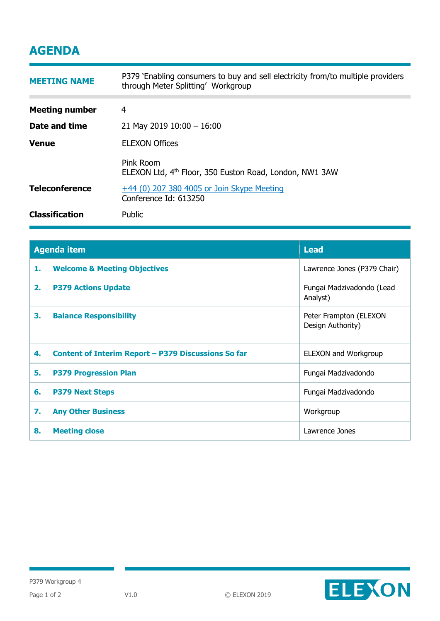## **AGENDA**

| <b>MEETING NAME</b>   | P379 'Enabling consumers to buy and sell electricity from/to multiple providers<br>through Meter Splitting' Workgroup |  |
|-----------------------|-----------------------------------------------------------------------------------------------------------------------|--|
| <b>Meeting number</b> | 4                                                                                                                     |  |
| Date and time         | 21 May 2019 $10:00 - 16:00$                                                                                           |  |
| <b>Venue</b>          | <b>ELEXON Offices</b>                                                                                                 |  |
|                       | Pink Room<br>ELEXON Ltd, 4 <sup>th</sup> Floor, 350 Euston Road, London, NW1 3AW                                      |  |
| <b>Teleconference</b> | +44 (0) 207 380 4005 or Join Skype Meeting<br>Conference Id: 613250                                                   |  |
| <b>Classification</b> | Public                                                                                                                |  |

| <b>Agenda item</b> |                                                            | <b>Lead</b>                                 |
|--------------------|------------------------------------------------------------|---------------------------------------------|
| 1.                 | <b>Welcome &amp; Meeting Objectives</b>                    | Lawrence Jones (P379 Chair)                 |
| 2.                 | <b>P379 Actions Update</b>                                 | Fungai Madzivadondo (Lead<br>Analyst)       |
| 3.                 | <b>Balance Responsibility</b>                              | Peter Frampton (ELEXON<br>Design Authority) |
| 4.                 | <b>Content of Interim Report - P379 Discussions So far</b> | ELEXON and Workgroup                        |
| 5.                 | <b>P379 Progression Plan</b>                               | Fungai Madzivadondo                         |
| 6.                 | <b>P379 Next Steps</b>                                     | Fungai Madzivadondo                         |
| 7.                 | <b>Any Other Business</b>                                  | Workgroup                                   |
| 8.                 | <b>Meeting close</b>                                       | Lawrence Jones                              |